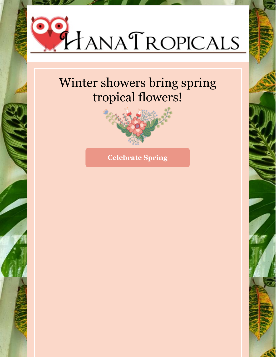

# Winter showers bring spring tropical flowers!



**Celebrate Spring**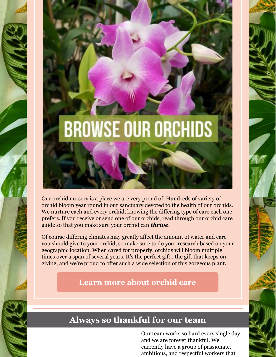

Our orchid nursery is a place we are very proud of. Hundreds of variety of orchid bloom year round in our sanctuary devoted to the health of our orchids. We nurture each and every orchid, knowing the differing type of care each one prefers. If you receive or send one of our orchids, read through our orchid care guide so that you make sure your orchid can *thrive*.

Of course differing climates may greatly affect the amount of water and care you should give to your orchid, so make sure to do your research based on your geographic location. When cared for properly, orchids will bloom multiple times over a span of several years. It's the perfect gift...the gift that keeps on giving, and we're proud to offer such a wide selection of this gorgeous plant.

#### **Learn more about [orchid](http://hanatropicals.com/orchid-care/) care**

### **Always so thankful for our team**

Our team works so hard every single day and we are forever thankful. We currently have a group of passionate, ambitious, and respectful workers that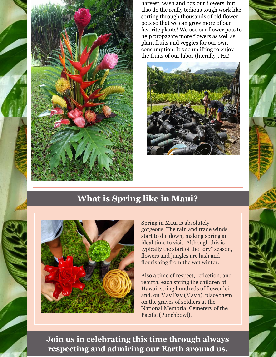

harvest, wash and box our flowers, but also do the really tedious tough work like sorting through thousands of old flower pots so that we can grow more of our favorite plants! We use our flower pots to help propagate more flowers as well as plant fruits and veggies for our own consumption. It's so uplifting to enjoy the fruits of our labor (literally). Ha!



### **What is Spring like in Maui?**



Spring in Maui is absolutely gorgeous. The rain and trade winds start to die down, making spring an ideal time to visit. Although this is typically the start of the "dry" season, flowers and jungles are lush and flourishing from the wet winter.

Also a time of respect, reflection, and rebirth, each spring the children of Hawaii string hundreds of flower lei and, on May Day (May 1), place them on the graves of soldiers at the National Memorial Cemetery of the Pacific (Punchbowl).

**Join us in celebrating this time through always respecting and admiring our Earth around us.**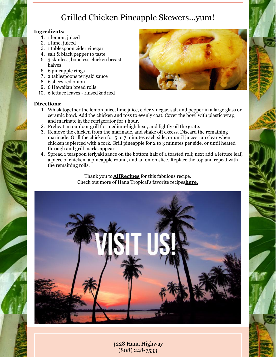## Grilled Chicken Pineapple Skewers...yum!

#### **Ingredients:**

- 1. 1 lemon, juiced
- 2. 1 lime, juiced
- 3. 1 tablespoon cider vinegar
- 4. salt & black pepper to taste
- 5. 3 skinless, boneless chicken breast halves
- 6. 6 pineapple rings
- 7. 2 tablespoons teriyaki sauce
- 8. 6 slices red onion
- 9. 6 Hawaiian bread rolls
- 10. 6 lettuce leaves rinsed & dried

#### **Directions:**

- 
- 1. Whisk together the lemon juice, lime juice, cider vinegar, salt and pepper in a large glass or ceramic bowl. Add the chicken and toss to evenly coat. Cover the bowl with plastic wrap, and marinate in the refrigerator for 1 hour.
- 2. Preheat an outdoor grill for medium-high heat, and lightly oil the grate.
- 3. Remove the chicken from the marinade, and shake off excess. Discard the remaining marinade. Grill the chicken for 5 to 7 minutes each side, or until juices run clear when chicken is pierced with a fork. Grill pineapple for 2 to 3 minutes per side, or until heated through and grill marks appear.
- 4. Spread 1 teaspoon teriyaki sauce on the bottom half of a toasted roll; next add a lettuce leaf, a piece of chicken, a pineapple round, and an onion slice. Replace the top and repeat with the remaining rolls.

Thank you to**[AllRecipes](https://www.allrecipes.com/recipe/217271/grilled-chicken-pineapple-sliders/?internalSource=staff pick&referringId=734&referringContentType=recipe hub)** for this fabulous recipe. Check out more of Hana Tropical's favorite recipes**[here.](http://hanatropicals.com/recipes/)**



4228 Hana Highway (808) [248-7533](https://www.google.com/search?q=hana+tropicals&oq=hana+tropicals&aqs=chrome.0.0j69i60l2j0l3.1520j0j1&sourceid=chrome&ie=UTF-8#)